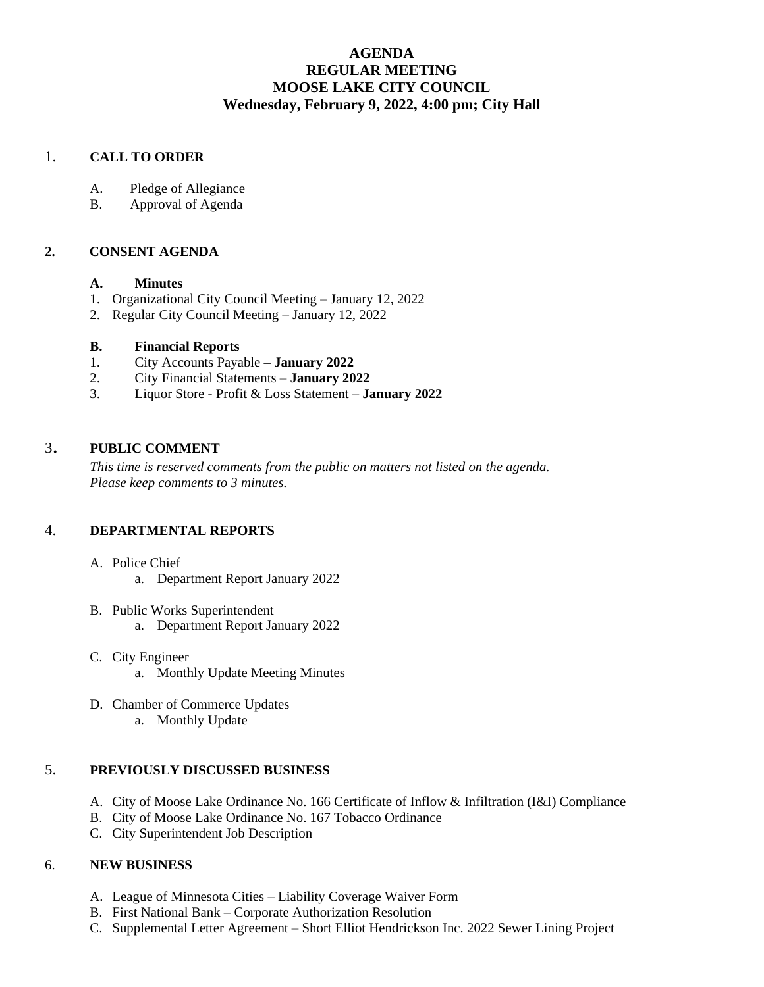# **AGENDA REGULAR MEETING MOOSE LAKE CITY COUNCIL Wednesday, February 9, 2022, 4:00 pm; City Hall**

## 1. **CALL TO ORDER**

- A. Pledge of Allegiance
- B. Approval of Agenda

## **2. CONSENT AGENDA**

### **A. Minutes**

- 1. Organizational City Council Meeting January 12, 2022
- 2. Regular City Council Meeting January 12, 2022

### **B. Financial Reports**

- 1. City Accounts Payable **– January 2022**
- 2. City Financial Statements **January 2022**
- 3. Liquor Store Profit & Loss Statement **January 2022**

## <sup>3</sup>. **PUBLIC COMMENT**

*This time is reserved comments from the public on matters not listed on the agenda. Please keep comments to 3 minutes.*

## 4. **DEPARTMENTAL REPORTS**

- A. Police Chief
	- a. Department Report January 2022
- B. Public Works Superintendent a. Department Report January 2022
- C. City Engineer a. Monthly Update Meeting Minutes
- D. Chamber of Commerce Updates a. Monthly Update

### 5. **PREVIOUSLY DISCUSSED BUSINESS**

- A. City of Moose Lake Ordinance No. 166 Certificate of Inflow & Infiltration (I&I) Compliance
- B. City of Moose Lake Ordinance No. 167 Tobacco Ordinance
- C. City Superintendent Job Description

### 6. **NEW BUSINESS**

- A. League of Minnesota Cities Liability Coverage Waiver Form
- B. First National Bank Corporate Authorization Resolution
- C. Supplemental Letter Agreement Short Elliot Hendrickson Inc. 2022 Sewer Lining Project